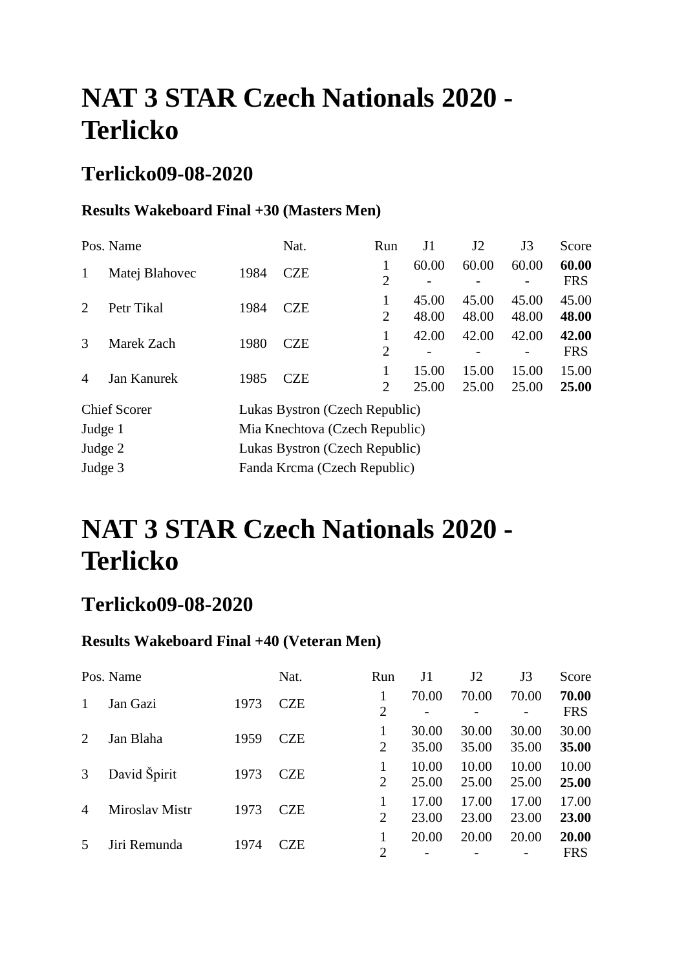### **Terlicko09-08-2020**

#### **Results Wakeboard Final +30 (Masters Men)**

|                | Pos. Name           |                                | Nat.                           | Run                 | J1             | J2             | J3             | Score               |  |  |  |
|----------------|---------------------|--------------------------------|--------------------------------|---------------------|----------------|----------------|----------------|---------------------|--|--|--|
| 1              | Matej Blahovec      | 1984                           | <b>CZE</b>                     | 1<br>$\overline{2}$ | 60.00          | 60.00<br>-     | 60.00          | 60.00<br><b>FRS</b> |  |  |  |
| 2              | Petr Tikal          | 1984                           | <b>CZE</b>                     | 1<br>$\overline{2}$ | 45.00<br>48.00 | 45.00<br>48.00 | 45.00<br>48.00 | 45.00<br>48.00      |  |  |  |
| 3              | Marek Zach          | 1980                           | <b>CZE</b>                     | 1<br>$\overline{2}$ | 42.00          | 42.00          | 42.00          | 42.00<br><b>FRS</b> |  |  |  |
| $\overline{A}$ | <b>Jan Kanurek</b>  | 1985                           | <b>CZE</b>                     | 1<br>$\overline{2}$ | 15.00<br>25.00 | 15.00<br>25.00 | 15.00<br>25.00 | 15.00<br>25.00      |  |  |  |
|                | <b>Chief Scorer</b> |                                | Lukas Bystron (Czech Republic) |                     |                |                |                |                     |  |  |  |
| Judge 1        |                     | Mia Knechtova (Czech Republic) |                                |                     |                |                |                |                     |  |  |  |
| Judge 2        |                     |                                | Lukas Bystron (Czech Republic) |                     |                |                |                |                     |  |  |  |
| Judge 3        |                     |                                | Fanda Krcma (Czech Republic)   |                     |                |                |                |                     |  |  |  |

# **NAT 3 STAR Czech Nationals 2020 - Terlicko**

### **Terlicko09-08-2020**

#### **Results Wakeboard Final +40 (Veteran Men)**

|                | Pos. Name      |      | Nat.       | Run            | J1             | J2             | J3             | Score               |
|----------------|----------------|------|------------|----------------|----------------|----------------|----------------|---------------------|
| 1              | Jan Gazi       | 1973 | <b>CZE</b> | 2              | 70.00          | 70.00          | 70.00          | 70.00<br><b>FRS</b> |
| 2              | Jan Blaha      | 1959 | <b>CZE</b> | 2              | 30.00<br>35.00 | 30.00<br>35.00 | 30.00<br>35.00 | 30.00<br>35.00      |
| 3              | David Špirit   | 1973 | <b>CZE</b> | $\overline{2}$ | 10.00<br>25.00 | 10.00<br>25.00 | 10.00<br>25.00 | 10.00<br>25.00      |
| $\overline{4}$ | Miroslav Mistr | 1973 | <b>CZE</b> | $\overline{2}$ | 17.00<br>23.00 | 17.00<br>23.00 | 17.00<br>23.00 | 17.00<br>23.00      |
|                | Jiri Remunda   | 1974 | CZE        | $\overline{2}$ | 20.00          | 20.00          | 20.00          | 20.00<br><b>FRS</b> |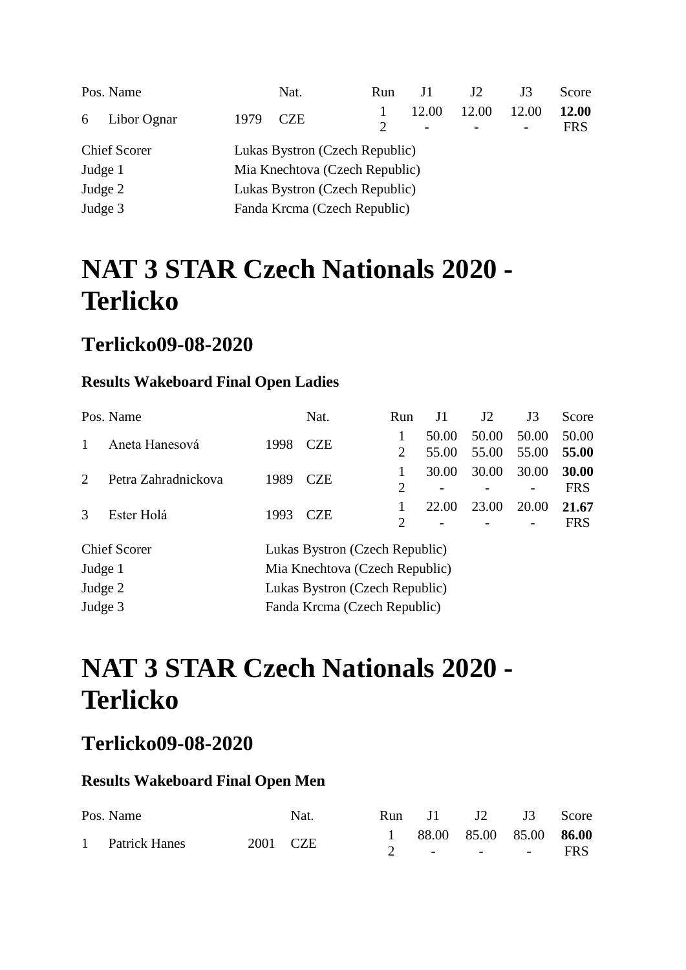|         | Pos. Name                                             |                                | Nat.       | Run | J1                                | J <sub>2</sub> | J3    | Score               |  |
|---------|-------------------------------------------------------|--------------------------------|------------|-----|-----------------------------------|----------------|-------|---------------------|--|
| 6       | Libor Ognar                                           | 1979                           | <b>CZE</b> | 2   | 12.00<br>$\overline{\phantom{a}}$ | 12.00          | 12.00 | 12.00<br><b>FRS</b> |  |
|         | <b>Chief Scorer</b><br>Lukas Bystron (Czech Republic) |                                |            |     |                                   |                |       |                     |  |
| Judge 1 |                                                       | Mia Knechtova (Czech Republic) |            |     |                                   |                |       |                     |  |
| Judge 2 |                                                       | Lukas Bystron (Czech Republic) |            |     |                                   |                |       |                     |  |
| Judge 3 |                                                       | Fanda Krcma (Czech Republic)   |            |     |                                   |                |       |                     |  |

### **Terlicko09-08-2020**

#### **Results Wakeboard Final Open Ladies**

|                             | Pos. Name           |                                | Nat.                           | Run            | J1    | J2    | J3    | Score      |
|-----------------------------|---------------------|--------------------------------|--------------------------------|----------------|-------|-------|-------|------------|
|                             | Aneta Hanesová      | 1998                           | <b>CZE</b>                     |                | 50.00 | 50.00 | 50.00 | 50.00      |
|                             |                     |                                |                                | 2              | 55.00 | 55.00 | 55.00 | 55.00      |
| $\mathcal{D}_{\mathcal{L}}$ | Petra Zahradnickova | 1989                           | <b>CZE</b>                     | 1              | 30.00 | 30.00 | 30.00 | 30.00      |
|                             |                     |                                |                                | $\overline{2}$ |       |       |       | <b>FRS</b> |
| $\mathcal{R}$               | Ester Holá          | 1993                           | <b>CZE</b>                     |                | 22.00 | 23.00 | 20.00 | 21.67      |
|                             |                     |                                |                                | $\overline{2}$ |       |       |       | <b>FRS</b> |
|                             | <b>Chief Scorer</b> |                                | Lukas Bystron (Czech Republic) |                |       |       |       |            |
| Judge 1                     |                     |                                | Mia Knechtova (Czech Republic) |                |       |       |       |            |
| Judge 2                     |                     | Lukas Bystron (Czech Republic) |                                |                |       |       |       |            |
| Judge 3                     |                     | Fanda Krcma (Czech Republic)   |                                |                |       |       |       |            |

## **NAT 3 STAR Czech Nationals 2020 - Terlicko**

### **Terlicko09-08-2020**

#### **Results Wakeboard Final Open Men**

| Pos. Name       | Nat.     |  | Run J1 J2 J3 Score        |  |
|-----------------|----------|--|---------------------------|--|
|                 |          |  | 1 88.00 85.00 85.00 86.00 |  |
| 1 Patrick Hanes | 2001 CZE |  | 2 - - - - FRS             |  |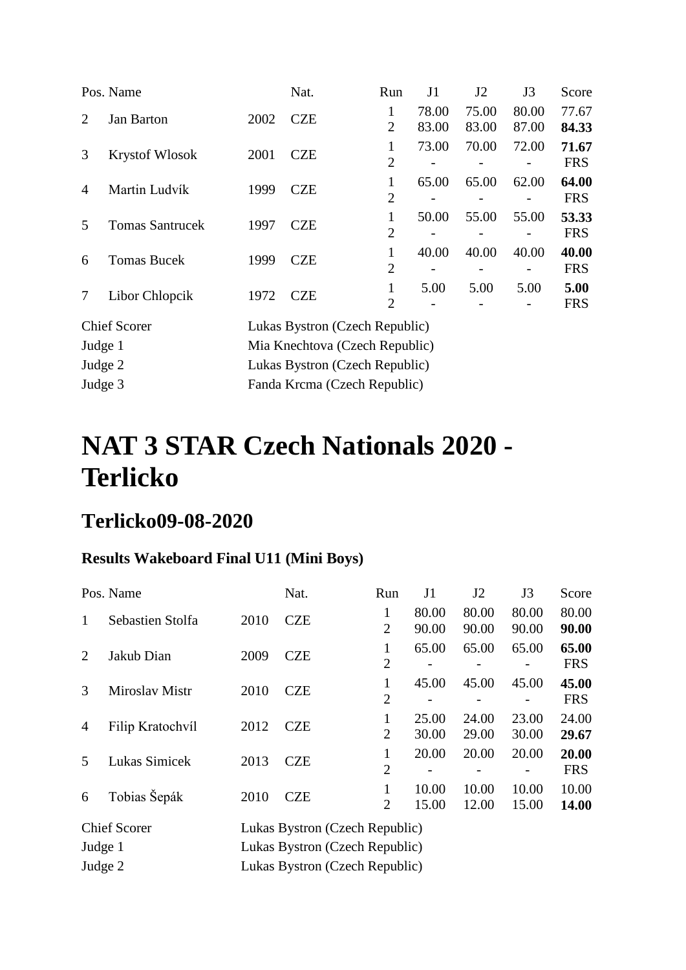|                        |                                                                   | Nat.       | Run                            | J1             | J2                                                                                                                                 | J3             | Score               |
|------------------------|-------------------------------------------------------------------|------------|--------------------------------|----------------|------------------------------------------------------------------------------------------------------------------------------------|----------------|---------------------|
| <b>Jan Barton</b>      | 2002                                                              | <b>CZE</b> | 1<br>$\overline{2}$            | 78.00<br>83.00 | 75.00<br>83.00                                                                                                                     | 80.00<br>87.00 | 77.67<br>84.33      |
| <b>Krystof Wlosok</b>  | 2001                                                              | <b>CZE</b> | 1<br>$\overline{2}$            | 73.00          | 70.00                                                                                                                              | 72.00          | 71.67<br><b>FRS</b> |
| Martin Ludvík          | 1999                                                              | <b>CZE</b> | 1<br>$\overline{2}$            | 65.00          | 65.00                                                                                                                              | 62.00          | 64.00<br><b>FRS</b> |
| <b>Tomas Santrucek</b> | 1997                                                              | <b>CZE</b> | 1<br>$\overline{2}$            | 50.00          | 55.00                                                                                                                              | 55.00          | 53.33<br><b>FRS</b> |
| <b>Tomas Bucek</b>     | 1999                                                              | <b>CZE</b> | $\mathbf{1}$<br>$\overline{2}$ | 40.00          | 40.00                                                                                                                              | 40.00          | 40.00<br><b>FRS</b> |
| Libor Chlopcik         | 1972                                                              | <b>CZE</b> | 1<br>$\overline{2}$            | 5.00           | 5.00                                                                                                                               | 5.00           | 5.00<br><b>FRS</b>  |
|                        |                                                                   |            |                                |                |                                                                                                                                    |                |                     |
|                        |                                                                   |            |                                |                |                                                                                                                                    |                |                     |
|                        |                                                                   |            |                                |                |                                                                                                                                    |                |                     |
|                        |                                                                   |            |                                |                |                                                                                                                                    |                |                     |
|                        | Pos. Name<br><b>Chief Scorer</b><br>Judge 1<br>Judge 2<br>Judge 3 |            |                                |                | Lukas Bystron (Czech Republic)<br>Mia Knechtova (Czech Republic)<br>Lukas Bystron (Czech Republic)<br>Fanda Krcma (Czech Republic) |                |                     |

## **Terlicko09-08-2020**

#### **Results Wakeboard Final U11 (Mini Boys)**

|                | Pos. Name           |      | Nat.                           | Run                 | J <sub>1</sub> | J2             | J3             | Score               |
|----------------|---------------------|------|--------------------------------|---------------------|----------------|----------------|----------------|---------------------|
| 1              | Sebastien Stolfa    | 2010 | <b>CZE</b>                     | 1<br>$\overline{2}$ | 80.00<br>90.00 | 80.00<br>90.00 | 80.00<br>90.00 | 80.00<br>90.00      |
| 2              | Jakub Dian          | 2009 | <b>CZE</b>                     | 1<br>$\overline{2}$ | 65.00          | 65.00          | 65.00          | 65.00<br><b>FRS</b> |
| 3              | Miroslav Mistr      | 2010 | <b>CZE</b>                     | 1<br>$\overline{2}$ | 45.00          | 45.00          | 45.00          | 45.00<br><b>FRS</b> |
| $\overline{4}$ | Filip Kratochvíl    | 2012 | <b>CZE</b>                     | 1<br>$\overline{2}$ | 25.00<br>30.00 | 24.00<br>29.00 | 23.00<br>30.00 | 24.00<br>29.67      |
| 5              | Lukas Simicek       | 2013 | <b>CZE</b>                     | 1<br>$\overline{2}$ | 20.00          | 20.00          | 20.00          | 20.00<br><b>FRS</b> |
| 6              | Tobias Šepák        | 2010 | <b>CZE</b>                     | $\overline{2}$      | 10.00<br>15.00 | 10.00<br>12.00 | 10.00<br>15.00 | 10.00<br>14.00      |
|                | <b>Chief Scorer</b> |      | Lukas Bystron (Czech Republic) |                     |                |                |                |                     |
| Judge 1        |                     |      | Lukas Bystron (Czech Republic) |                     |                |                |                |                     |
| Judge 2        |                     |      | Lukas Bystron (Czech Republic) |                     |                |                |                |                     |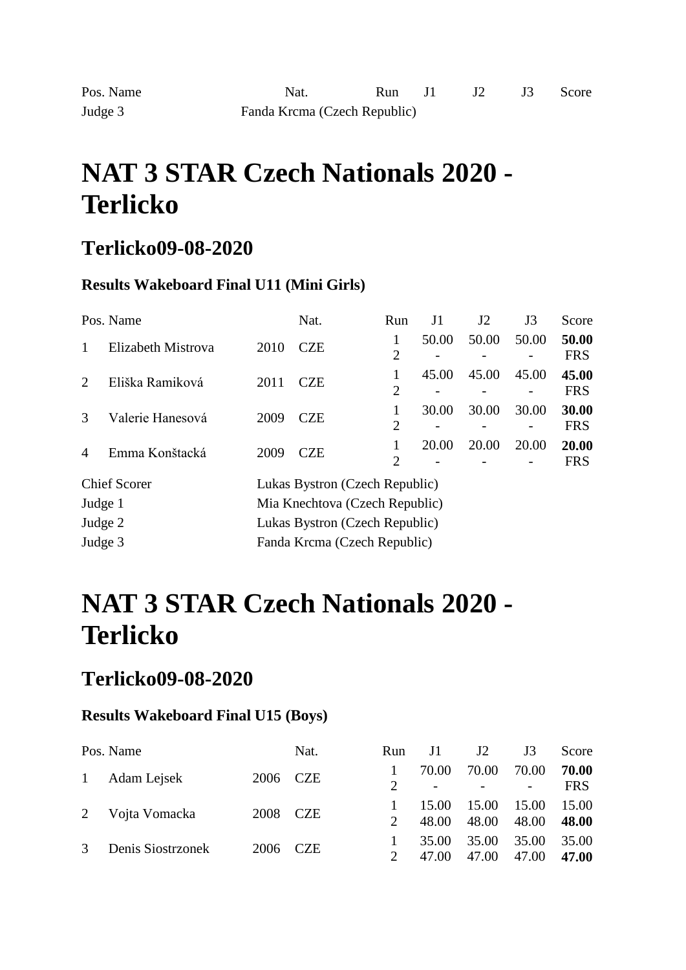### **Terlicko09-08-2020**

#### **Results Wakeboard Final U11 (Mini Girls)**

|                | Pos. Name           |                                | Nat.                           | Run                 | J <sub>1</sub> | J2    | J3    | Score               |
|----------------|---------------------|--------------------------------|--------------------------------|---------------------|----------------|-------|-------|---------------------|
|                | Elizabeth Mistrova  | 2010                           | <b>CZE</b>                     | $\overline{2}$      | 50.00          | 50.00 | 50.00 | 50.00<br><b>FRS</b> |
| 2              | Eliška Ramiková     | 2011                           | <b>CZE</b>                     | 1<br>$\overline{2}$ | 45.00          | 45.00 | 45.00 | 45.00<br><b>FRS</b> |
| $\mathcal{R}$  | Valerie Hanesová    | 2009                           | <b>CZE</b>                     | 1<br>$\overline{2}$ | 30.00          | 30.00 | 30.00 | 30.00<br><b>FRS</b> |
| $\overline{4}$ | Emma Konštacká      | 2009                           | CZE                            | 1<br>$\overline{2}$ | 20.00          | 20.00 | 20.00 | 20.00<br><b>FRS</b> |
|                | <b>Chief Scorer</b> |                                | Lukas Bystron (Czech Republic) |                     |                |       |       |                     |
| Judge 1        |                     | Mia Knechtova (Czech Republic) |                                |                     |                |       |       |                     |
| Judge 2        |                     | Lukas Bystron (Czech Republic) |                                |                     |                |       |       |                     |
| Judge 3        |                     | Fanda Krcma (Czech Republic)   |                                |                     |                |       |       |                     |

# **NAT 3 STAR Czech Nationals 2020 - Terlicko**

### **Terlicko09-08-2020**

#### **Results Wakeboard Final U15 (Boys)**

|        | Pos. Name         |          | Nat. | Run                         | J1    | J2    | J3                      | Score      |
|--------|-------------------|----------|------|-----------------------------|-------|-------|-------------------------|------------|
| 2<br>3 | 1 Adam Lejsek     | 2006 CZE |      |                             | 70.00 | 70.00 | 70.00                   | 70.00      |
|        |                   |          |      |                             |       |       | 48.00<br>35.00<br>47.00 | <b>FRS</b> |
|        |                   | 2008 CZE |      |                             | 15.00 | 15.00 |                         | 15.00      |
|        | Vojta Vomacka     |          |      | $\mathcal{D}_{\mathcal{L}}$ | 48.00 | 48.00 |                         | 48.00      |
|        |                   |          |      |                             | 35.00 | 35.00 |                         | 35.00      |
|        | Denis Siostrzonek | 2006 CZE |      |                             | 47.00 | 47.00 | 15.00                   | 47.00      |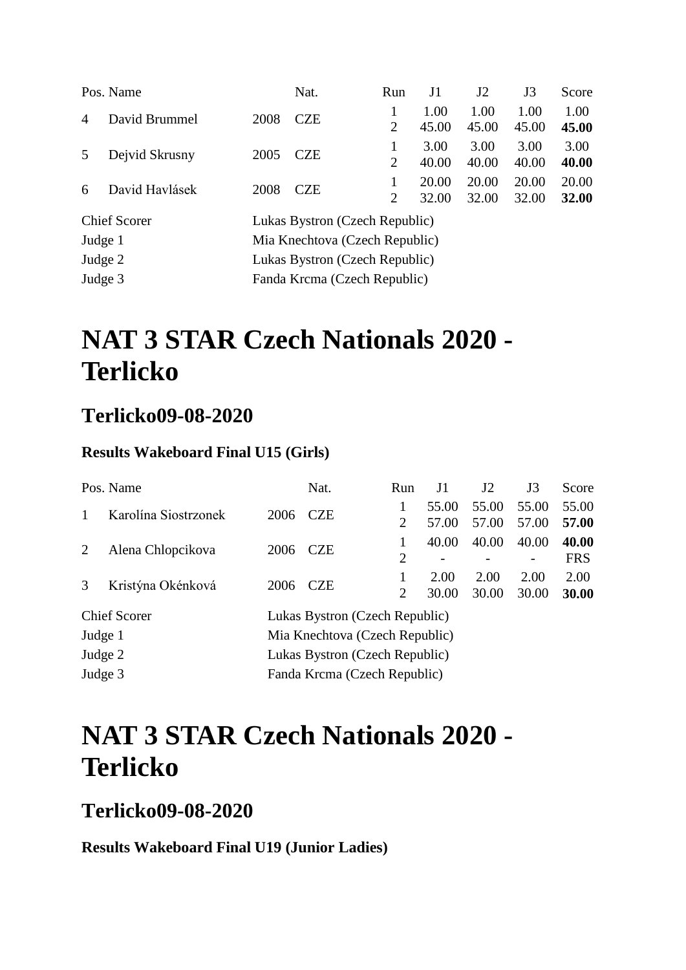|                | Pos. Name           |      | Nat.                           | <b>Run</b>                  | J1             | J <sub>2</sub> | J3             | Score          |
|----------------|---------------------|------|--------------------------------|-----------------------------|----------------|----------------|----------------|----------------|
| $\overline{4}$ | David Brummel       | 2008 | <b>CZE</b>                     | $\overline{2}$              | 1.00<br>45.00  | 1.00<br>45.00  | 1.00<br>45.00  | 1.00<br>45.00  |
| 5 <sup>5</sup> | Dejvid Skrusny      | 2005 | <b>CZE</b>                     | 1<br>2                      | 3.00<br>40.00  | 3.00<br>40.00  | 3.00<br>40.00  | 3.00<br>40.00  |
| 6              | David Havlásek      | 2008 | <b>CZE</b>                     | $\mathcal{D}_{\mathcal{L}}$ | 20.00<br>32.00 | 20.00<br>32.00 | 20.00<br>32.00 | 20.00<br>32.00 |
|                | <b>Chief Scorer</b> |      | Lukas Bystron (Czech Republic) |                             |                |                |                |                |

Judge 1 Mia Knechtova (Czech Republic) Judge 2 Lukas Bystron (Czech Republic) Judge 3 Fanda Krcma (Czech Republic)

# **NAT 3 STAR Czech Nationals 2020 - Terlicko**

### **Terlicko09-08-2020**

#### **Results Wakeboard Final U15 (Girls)**

|         | Pos. Name            |                                | Nat.                           | Run            | J1             | J <sub>2</sub> | J3             | Score               |
|---------|----------------------|--------------------------------|--------------------------------|----------------|----------------|----------------|----------------|---------------------|
|         | Karolína Siostrzonek | 2006                           | <b>CZE</b>                     | 2              | 55.00<br>57.00 | 55.00<br>57.00 | 55.00<br>57.00 | 55.00<br>57.00      |
| 2       | Alena Chlopcikova    | 2006                           | <b>CZE</b>                     | 1<br>2         | 40.00          | 40.00          | 40.00          | 40.00<br><b>FRS</b> |
| 3       | Kristýna Okénková    | 2006                           | <b>CZE</b>                     | $\overline{2}$ | 2.00<br>30.00  | 2.00<br>30.00  | 2.00<br>30.00  | 2.00<br>30.00       |
|         | <b>Chief Scorer</b>  |                                | Lukas Bystron (Czech Republic) |                |                |                |                |                     |
| Judge 1 |                      |                                | Mia Knechtova (Czech Republic) |                |                |                |                |                     |
| Judge 2 |                      | Lukas Bystron (Czech Republic) |                                |                |                |                |                |                     |
| Judge 3 |                      | Fanda Krcma (Czech Republic)   |                                |                |                |                |                |                     |

## **NAT 3 STAR Czech Nationals 2020 - Terlicko**

### **Terlicko09-08-2020**

**Results Wakeboard Final U19 (Junior Ladies)**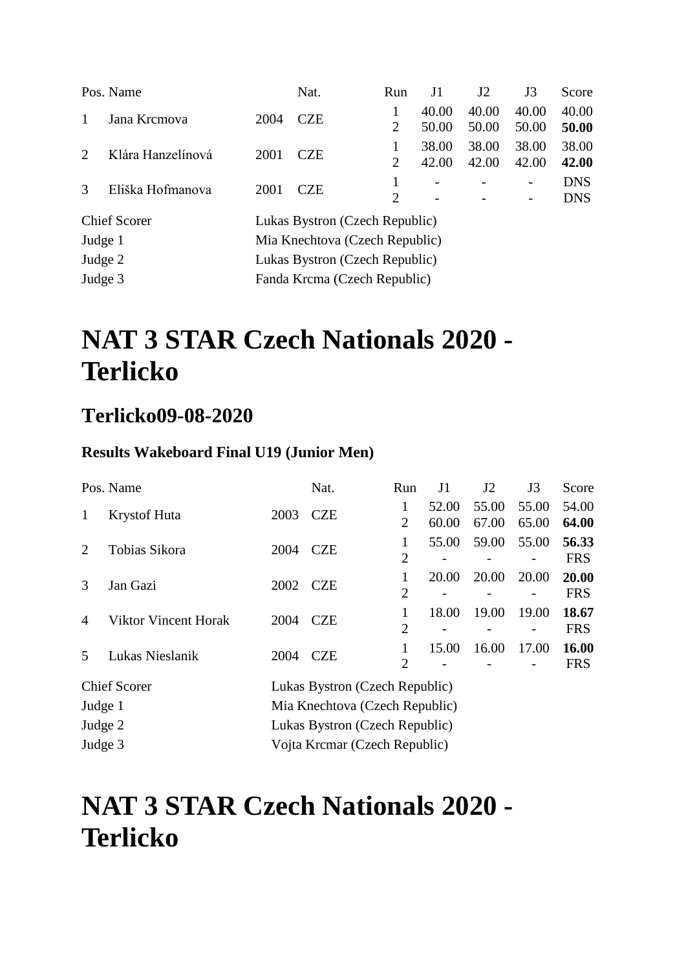|               | Pos. Name           |      | Nat.                           | Run                         | J1             | J2             | J3                                                   | Score                    |
|---------------|---------------------|------|--------------------------------|-----------------------------|----------------|----------------|------------------------------------------------------|--------------------------|
| 1             | Jana Krcmova        | 2004 | <b>CZE</b>                     | 2                           | 40.00<br>50.00 | 40.00<br>50.00 | 40.00<br>50.00                                       | 40.00<br>50.00           |
| $2^{\circ}$   | Klára Hanzelínová   | 2001 | <b>CZE</b>                     | $\overline{2}$              | 38.00<br>42.00 | 38.00<br>42.00 | 38.00<br>42.00                                       | 38.00<br>42.00           |
| $\mathcal{R}$ | Eliška Hofmanova    | 2001 | <b>CZE</b>                     | $\mathcal{D}_{\mathcal{L}}$ |                |                | $\overline{\phantom{0}}$<br>$\overline{\phantom{0}}$ | <b>DNS</b><br><b>DNS</b> |
|               | <b>Chief Scorer</b> |      | Lukas Bystron (Czech Republic) |                             |                |                |                                                      |                          |

Judge 1 Mia Knechtova (Czech Republic) Judge 2 Lukas Bystron (Czech Republic) Judge 3 Fanda Krcma (Czech Republic)

# **NAT 3 STAR Czech Nationals 2020 - Terlicko**

### **Terlicko09-08-2020**

#### **Results Wakeboard Final U19 (Junior Men)**

|                | Pos. Name                   |      | Nat.                           | Run                 | J1             | J2             | J3             | Score               |  |  |
|----------------|-----------------------------|------|--------------------------------|---------------------|----------------|----------------|----------------|---------------------|--|--|
| 1              | <b>Krystof Huta</b>         | 2003 | <b>CZE</b>                     | 1<br>2              | 52.00<br>60.00 | 55.00<br>67.00 | 55.00<br>65.00 | 54.00<br>64.00      |  |  |
| $\overline{2}$ | Tobias Sikora               | 2004 | <b>CZE</b>                     | 1<br>$\overline{2}$ | 55.00          | 59.00          | 55.00          | 56.33<br><b>FRS</b> |  |  |
| 3              | Jan Gazi                    | 2002 | <b>CZE</b>                     | 1<br>$\overline{2}$ | 20.00          | 20.00          | 20.00          | 20.00<br><b>FRS</b> |  |  |
| 4              | <b>Viktor Vincent Horak</b> | 2004 | <b>CZE</b>                     | $\overline{2}$      | 18.00          | 19.00          | 19.00          | 18.67<br><b>FRS</b> |  |  |
| 5              | Lukas Nieslanik             | 2004 | <b>CZE</b>                     | 1<br>$\overline{2}$ | 15.00          | 16.00          | 17.00          | 16.00<br><b>FRS</b> |  |  |
|                | <b>Chief Scorer</b>         |      | Lukas Bystron (Czech Republic) |                     |                |                |                |                     |  |  |
| Judge 1        |                             |      | Mia Knechtova (Czech Republic) |                     |                |                |                |                     |  |  |
| Judge 2        |                             |      | Lukas Bystron (Czech Republic) |                     |                |                |                |                     |  |  |
| Judge 3        |                             |      | Vojta Krcmar (Czech Republic)  |                     |                |                |                |                     |  |  |

## **NAT 3 STAR Czech Nationals 2020 - Terlicko**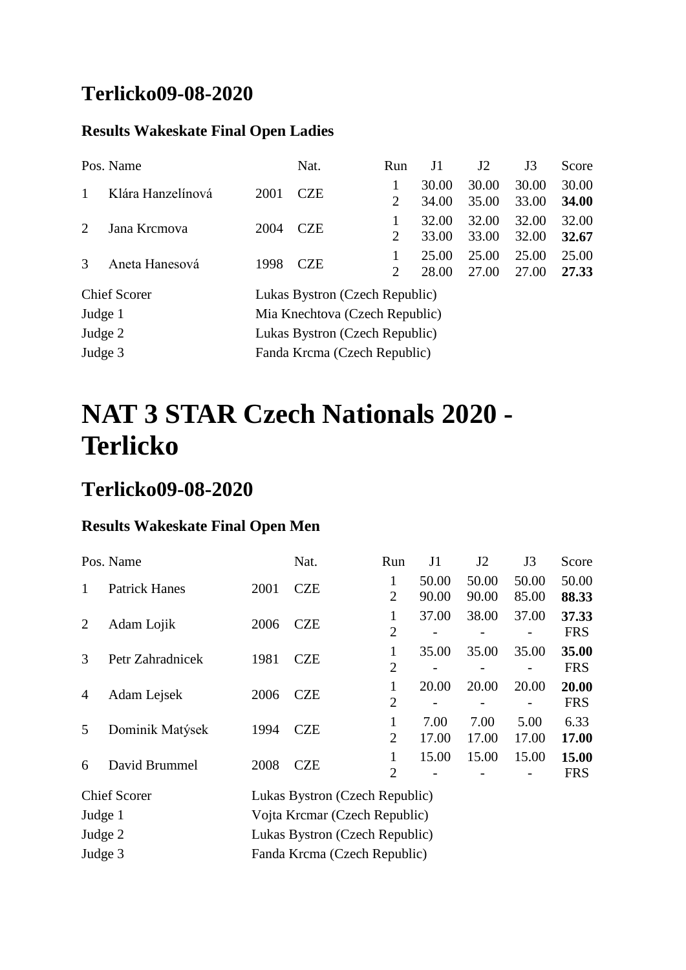### **Terlicko09-08-2020**

#### **Results Wakeskate Final Open Ladies**

|                             | Pos. Name           |                                | Nat.                           | Run | J1    | J2    | J3    | Score |  |  |
|-----------------------------|---------------------|--------------------------------|--------------------------------|-----|-------|-------|-------|-------|--|--|
|                             | Klára Hanzelínová   | 2001                           | <b>CZE</b>                     |     | 30.00 | 30.00 | 30.00 | 30.00 |  |  |
|                             |                     |                                |                                | 2   | 34.00 | 35.00 | 33.00 | 34.00 |  |  |
| $\mathcal{D}_{\mathcal{L}}$ | Jana Krcmova        | 2004                           | <b>CZE</b>                     |     | 32.00 | 32.00 | 32.00 | 32.00 |  |  |
|                             |                     |                                |                                | 2   | 33.00 | 33.00 | 32.00 | 32.67 |  |  |
| 3                           | Aneta Hanesová      | 1998                           | <b>CZE</b>                     |     | 25.00 | 25.00 | 25.00 | 25.00 |  |  |
|                             |                     |                                |                                | 2   | 28.00 | 27.00 | 27.00 | 27.33 |  |  |
|                             | <b>Chief Scorer</b> | Lukas Bystron (Czech Republic) |                                |     |       |       |       |       |  |  |
| Judge 1                     |                     |                                | Mia Knechtova (Czech Republic) |     |       |       |       |       |  |  |
| Judge 2                     |                     | Lukas Bystron (Czech Republic) |                                |     |       |       |       |       |  |  |
| Judge 3                     |                     | Fanda Krcma (Czech Republic)   |                                |     |       |       |       |       |  |  |

# **NAT 3 STAR Czech Nationals 2020 - Terlicko**

### **Terlicko09-08-2020**

#### **Results Wakeskate Final Open Men**

|                | Pos. Name            |      | Nat.                           | Run                 | J1             | J <sub>2</sub> | J3             | Score               |
|----------------|----------------------|------|--------------------------------|---------------------|----------------|----------------|----------------|---------------------|
|                | <b>Patrick Hanes</b> | 2001 | <b>CZE</b>                     | 1<br>$\overline{2}$ | 50.00<br>90.00 | 50.00<br>90.00 | 50.00<br>85.00 | 50.00<br>88.33      |
| $\overline{2}$ | Adam Lojik           | 2006 | <b>CZE</b>                     | 1<br>$\overline{2}$ | 37.00          | 38.00          | 37.00          | 37.33<br><b>FRS</b> |
| 3              | Petr Zahradnicek     | 1981 | <b>CZE</b>                     | 1<br>$\overline{2}$ | 35.00          | 35.00          | 35.00          | 35.00<br><b>FRS</b> |
| 4              | Adam Lejsek          | 2006 | <b>CZE</b>                     | 1<br>$\overline{2}$ | 20.00          | 20.00          | 20.00          | 20.00<br><b>FRS</b> |
| 5              | Dominik Matýsek      | 1994 | <b>CZE</b>                     | 1<br>$\overline{2}$ | 7.00<br>17.00  | 7.00<br>17.00  | 5.00<br>17.00  | 6.33<br>17.00       |
| 6              | David Brummel        | 2008 | <b>CZE</b>                     | $\overline{2}$      | 15.00          | 15.00          | 15.00          | 15.00<br><b>FRS</b> |
|                | <b>Chief Scorer</b>  |      | Lukas Bystron (Czech Republic) |                     |                |                |                |                     |

| Chief Scorer | LUKAS BYStron (Czech Republic) |
|--------------|--------------------------------|
| Judge 1      | Vojta Krcmar (Czech Republic)  |
| Judge 2      | Lukas Bystron (Czech Republic) |
| Judge 3      | Fanda Krcma (Czech Republic)   |
|              |                                |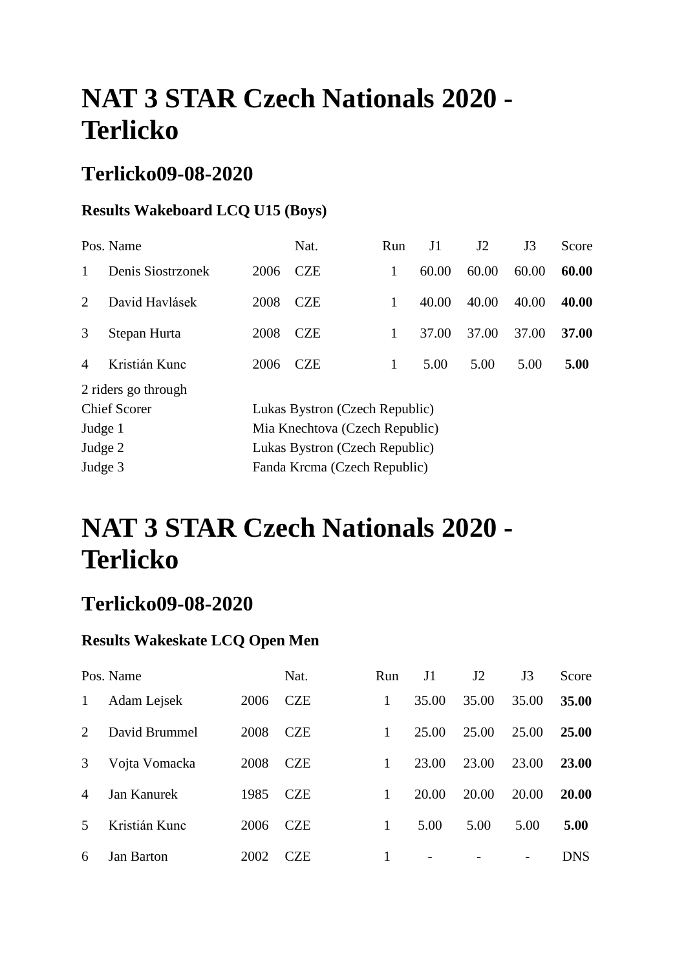### **Terlicko09-08-2020**

#### **Results Wakeboard LCQ U15 (Boys)**

|                | Pos. Name           |      | Nat.                           | Run | J1    | J2    | J3    | Score |  |  |
|----------------|---------------------|------|--------------------------------|-----|-------|-------|-------|-------|--|--|
| 1              | Denis Siostrzonek   | 2006 | <b>CZE</b>                     | 1   | 60.00 | 60.00 | 60.00 | 60.00 |  |  |
| 2              | David Havlásek      | 2008 | <b>CZE</b>                     | 1   | 40.00 | 40.00 | 40.00 | 40.00 |  |  |
| 3              | Stepan Hurta        | 2008 | <b>CZE</b>                     | 1   | 37.00 | 37.00 | 37.00 | 37.00 |  |  |
| $\overline{A}$ | Kristián Kunc       | 2006 | <b>CZE</b>                     | 1   | 5.00  | 5.00  | 5.00  | 5.00  |  |  |
|                | 2 riders go through |      |                                |     |       |       |       |       |  |  |
|                | <b>Chief Scorer</b> |      | Lukas Bystron (Czech Republic) |     |       |       |       |       |  |  |
| Judge 1        |                     |      | Mia Knechtova (Czech Republic) |     |       |       |       |       |  |  |
| Judge 2        |                     |      | Lukas Bystron (Czech Republic) |     |       |       |       |       |  |  |
| Judge 3        |                     |      | Fanda Krcma (Czech Republic)   |     |       |       |       |       |  |  |
|                |                     |      |                                |     |       |       |       |       |  |  |

# **NAT 3 STAR Czech Nationals 2020 - Terlicko**

### **Terlicko09-08-2020**

#### **Results Wakeskate LCQ Open Men**

|                | Pos. Name         |      | Nat.       | Run | J1    | J2    | J3    | Score        |
|----------------|-------------------|------|------------|-----|-------|-------|-------|--------------|
| 1              | Adam Lejsek       | 2006 | <b>CZE</b> | 1   | 35.00 | 35.00 | 35.00 | 35.00        |
| $\mathcal{L}$  | David Brummel     | 2008 | <b>CZE</b> | 1   | 25.00 | 25.00 | 25.00 | <b>25.00</b> |
| 3              | Vojta Vomacka     | 2008 | <b>CZE</b> | 1   | 23.00 | 23.00 | 23.00 | <b>23.00</b> |
| $\overline{4}$ | Jan Kanurek       | 1985 | <b>CZE</b> | 1   | 20.00 | 20.00 | 20.00 | 20.00        |
| 5              | Kristián Kunc     | 2006 | <b>CZE</b> | 1   | 5.00  | 5.00  | 5.00  | 5.00         |
| 6              | <b>Jan Barton</b> | 2002 | <b>CZE</b> |     |       |       |       | <b>DNS</b>   |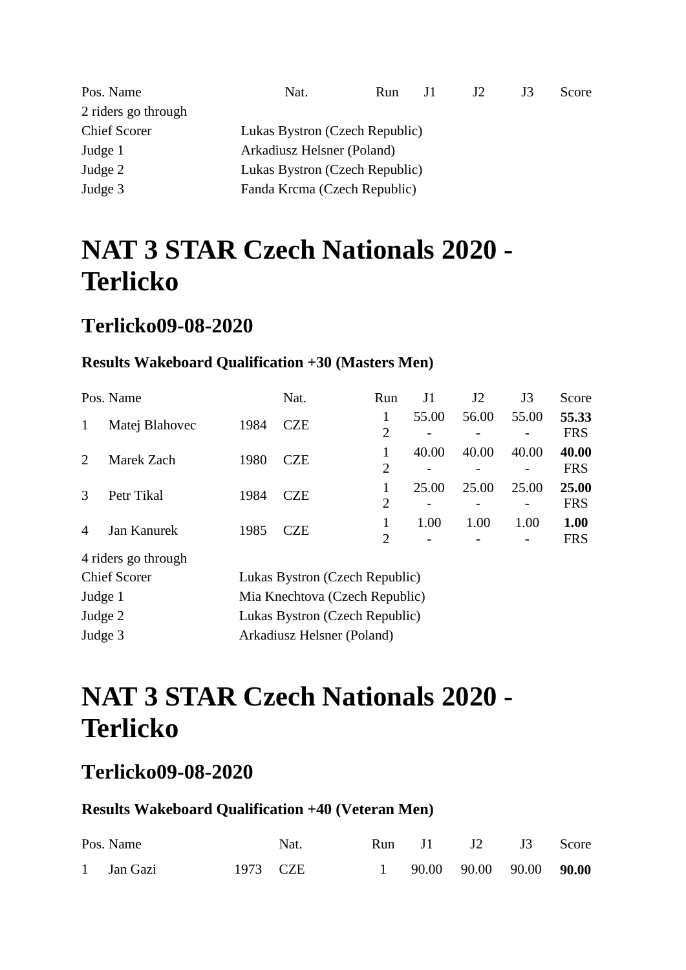| Pos. Name           | Nat.                           | <b>Run</b>                 | JI | J2 | J3 | Score |  |
|---------------------|--------------------------------|----------------------------|----|----|----|-------|--|
| 2 riders go through |                                |                            |    |    |    |       |  |
| <b>Chief Scorer</b> | Lukas Bystron (Czech Republic) |                            |    |    |    |       |  |
| Judge 1             |                                | Arkadiusz Helsner (Poland) |    |    |    |       |  |
| Judge 2             | Lukas Bystron (Czech Republic) |                            |    |    |    |       |  |
| Judge 3             | Fanda Krcma (Czech Republic)   |                            |    |    |    |       |  |

### **Terlicko09-08-2020**

#### **Results Wakeboard Qualification +30 (Masters Men)**

|                | Pos. Name                     |                                | Nat.                                                                                                                                                                                                                                                                                                                               | Run                 | J1    | J2    | J3    | Score               |  |  |  |
|----------------|-------------------------------|--------------------------------|------------------------------------------------------------------------------------------------------------------------------------------------------------------------------------------------------------------------------------------------------------------------------------------------------------------------------------|---------------------|-------|-------|-------|---------------------|--|--|--|
| 1              | Matej Blahovec                | 1984                           | <b>CZE</b>                                                                                                                                                                                                                                                                                                                         | 1<br>$\overline{2}$ | 55.00 | 56.00 | 55.00 | 55.33<br><b>FRS</b> |  |  |  |
| 2              | Marek Zach                    | 1980                           | <b>CZE</b>                                                                                                                                                                                                                                                                                                                         | $\overline{2}$      | 40.00 | 40.00 | 40.00 | 40.00<br><b>FRS</b> |  |  |  |
| 3              | Petr Tikal                    | 1984                           | <b>CZE</b>                                                                                                                                                                                                                                                                                                                         | $\overline{2}$      | 25.00 | 25.00 | 25.00 | 25.00<br><b>FRS</b> |  |  |  |
| $\overline{A}$ | Jan Kanurek                   | 1985                           | <b>CZE</b>                                                                                                                                                                                                                                                                                                                         | $\overline{2}$      | 1.00  | 1.00  | 1.00  | 1.00<br><b>FRS</b>  |  |  |  |
|                | 4 riders go through           |                                |                                                                                                                                                                                                                                                                                                                                    |                     |       |       |       |                     |  |  |  |
|                | <b>Chief Scorer</b>           | Lukas Bystron (Czech Republic) |                                                                                                                                                                                                                                                                                                                                    |                     |       |       |       |                     |  |  |  |
|                | $\mathbf{r}$ and $\mathbf{r}$ |                                | $\mathbf{M}$ $\mathbf{M}$ $\mathbf{M}$ $\mathbf{M}$ $\mathbf{M}$ $\mathbf{M}$ $\mathbf{M}$ $\mathbf{M}$ $\mathbf{M}$ $\mathbf{M}$ $\mathbf{M}$ $\mathbf{M}$ $\mathbf{M}$ $\mathbf{M}$ $\mathbf{M}$ $\mathbf{M}$ $\mathbf{M}$ $\mathbf{M}$ $\mathbf{M}$ $\mathbf{M}$ $\mathbf{M}$ $\mathbf{M}$ $\mathbf{M}$ $\mathbf{M}$ $\mathbf{$ |                     |       |       |       |                     |  |  |  |

| Judge 1 | Mia Knechtova (Czech Republic) |
|---------|--------------------------------|
| Judge 2 | Lukas Bystron (Czech Republic) |
| Judge 3 | Arkadiusz Helsner (Poland)     |

# **NAT 3 STAR Czech Nationals 2020 - Terlicko**

### **Terlicko09-08-2020**

#### **Results Wakeboard Qualification +40 (Veteran Men)**

| Pos. Name  |          | Nat. |  | Run J1 J2 J3 Score                 |  |
|------------|----------|------|--|------------------------------------|--|
| 1 Jan Gazi | 1973 CZE |      |  | $1$ 90.00 90.00 90.00 <b>90.00</b> |  |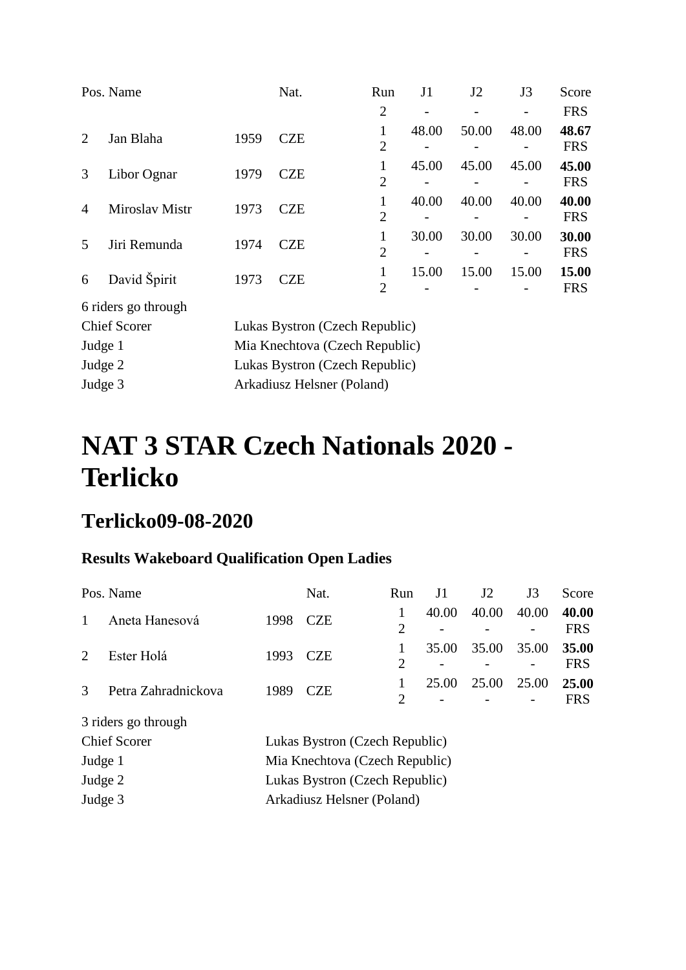|                | Pos. Name           |      | Nat.                           | Run                            | J <sub>1</sub> | J2    | J3    | Score               |  |  |  |
|----------------|---------------------|------|--------------------------------|--------------------------------|----------------|-------|-------|---------------------|--|--|--|
|                |                     |      |                                | $\overline{2}$                 |                |       |       | <b>FRS</b>          |  |  |  |
| 2              | Jan Blaha           | 1959 | <b>CZE</b>                     | $\mathbf{1}$<br>$\overline{2}$ | 48.00          | 50.00 | 48.00 | 48.67<br><b>FRS</b> |  |  |  |
| 3              | Libor Ognar         | 1979 | <b>CZE</b>                     | $\mathbf{1}$<br>$\overline{2}$ | 45.00          | 45.00 | 45.00 | 45.00<br><b>FRS</b> |  |  |  |
| $\overline{A}$ | Miroslav Mistr      | 1973 | <b>CZE</b>                     | 1<br>$\overline{2}$            | 40.00          | 40.00 | 40.00 | 40.00<br><b>FRS</b> |  |  |  |
| 5              | Jiri Remunda        | 1974 | <b>CZE</b>                     | $\mathbf{1}$<br>$\overline{2}$ | 30.00          | 30.00 | 30.00 | 30.00<br><b>FRS</b> |  |  |  |
| 6              | David Špirit        | 1973 | <b>CZE</b>                     | $\mathbf{1}$<br>$\overline{2}$ | 15.00          | 15.00 | 15.00 | 15.00<br><b>FRS</b> |  |  |  |
|                | 6 riders go through |      |                                |                                |                |       |       |                     |  |  |  |
|                | <b>Chief Scorer</b> |      | Lukas Bystron (Czech Republic) |                                |                |       |       |                     |  |  |  |
| Judge 1        |                     |      | Mia Knechtova (Czech Republic) |                                |                |       |       |                     |  |  |  |
| Judge 2        |                     |      | Lukas Bystron (Czech Republic) |                                |                |       |       |                     |  |  |  |
| Judge 3        |                     |      | Arkadiusz Helsner (Poland)     |                                |                |       |       |                     |  |  |  |

## **Terlicko09-08-2020**

### **Results Wakeboard Qualification Open Ladies**

|                             | Pos. Name           |                                | Nat.                           | Run            | J1    | J <sub>2</sub> | J3    | Score               |  |  |
|-----------------------------|---------------------|--------------------------------|--------------------------------|----------------|-------|----------------|-------|---------------------|--|--|
| 1                           | Aneta Hanesová      | 1998                           | <b>CZE</b>                     | $\overline{2}$ | 40.00 | 40.00          | 40.00 | 40.00<br><b>FRS</b> |  |  |
| $\mathcal{D}_{\mathcal{L}}$ | Ester Holá          | 1993                           | <b>CZE</b>                     | $\overline{2}$ | 35.00 | 35.00          | 35.00 | 35.00<br><b>FRS</b> |  |  |
| $\mathcal{R}$               | Petra Zahradnickova | 1989                           | <b>CZE</b>                     | $\overline{2}$ | 25.00 | 25.00          | 25.00 | 25.00<br><b>FRS</b> |  |  |
|                             | 3 riders go through |                                |                                |                |       |                |       |                     |  |  |
|                             | <b>Chief Scorer</b> |                                | Lukas Bystron (Czech Republic) |                |       |                |       |                     |  |  |
| Judge 1                     |                     |                                | Mia Knechtova (Czech Republic) |                |       |                |       |                     |  |  |
| Judge 2                     |                     | Lukas Bystron (Czech Republic) |                                |                |       |                |       |                     |  |  |
| Judge 3                     |                     |                                | Arkadiusz Helsner (Poland)     |                |       |                |       |                     |  |  |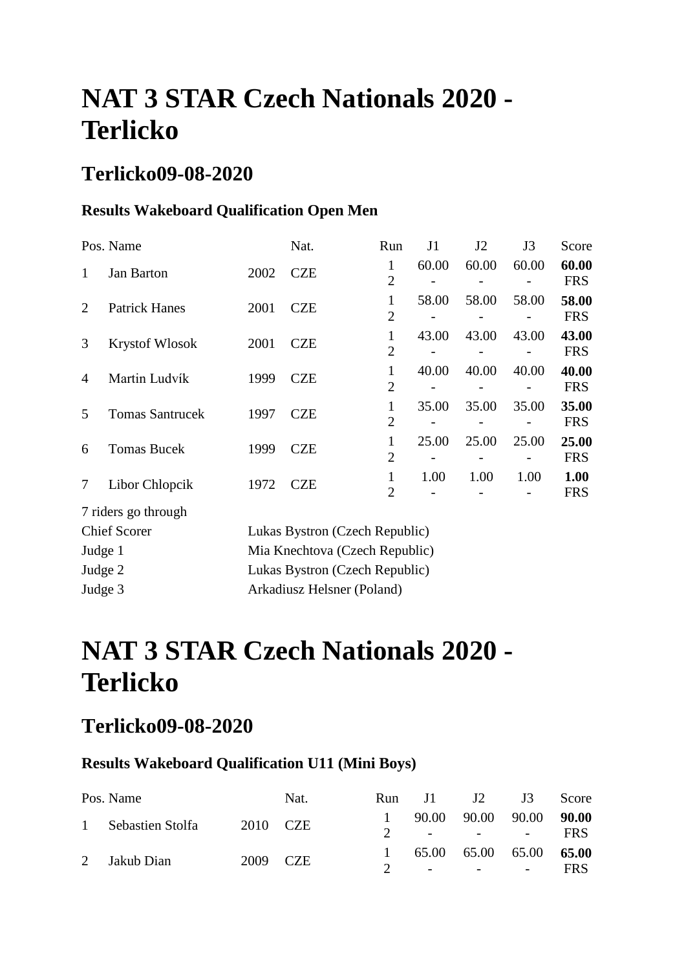### **Terlicko09-08-2020**

### **Results Wakeboard Qualification Open Men**

|                | Pos. Name              |      | Nat.                           | Run                            | J1    | J2    | J3    | Score               |
|----------------|------------------------|------|--------------------------------|--------------------------------|-------|-------|-------|---------------------|
| 1              | <b>Jan Barton</b>      | 2002 | <b>CZE</b>                     | $\mathbf{1}$<br>$\overline{2}$ | 60.00 | 60.00 | 60.00 | 60.00<br><b>FRS</b> |
| $\overline{2}$ | <b>Patrick Hanes</b>   | 2001 | <b>CZE</b>                     | 1<br>$\overline{2}$            | 58.00 | 58.00 | 58.00 | 58.00<br><b>FRS</b> |
| 3              | <b>Krystof Wlosok</b>  | 2001 | <b>CZE</b>                     | 1<br>$\overline{2}$            | 43.00 | 43.00 | 43.00 | 43.00<br><b>FRS</b> |
| $\overline{4}$ | Martin Ludvík          | 1999 | <b>CZE</b>                     | 1<br>$\overline{2}$            | 40.00 | 40.00 | 40.00 | 40.00<br><b>FRS</b> |
| 5              | <b>Tomas Santrucek</b> | 1997 | <b>CZE</b>                     | $\mathbf{1}$<br>$\overline{2}$ | 35.00 | 35.00 | 35.00 | 35.00<br><b>FRS</b> |
| 6              | <b>Tomas Bucek</b>     | 1999 | <b>CZE</b>                     | 1<br>$\overline{2}$            | 25.00 | 25.00 | 25.00 | 25.00<br><b>FRS</b> |
| 7              | Libor Chlopcik         | 1972 | <b>CZE</b>                     | 1<br>$\overline{2}$            | 1.00  | 1.00  | 1.00  | 1.00<br><b>FRS</b>  |
|                | 7 riders go through    |      |                                |                                |       |       |       |                     |
|                | <b>Chief Scorer</b>    |      | Lukas Bystron (Czech Republic) |                                |       |       |       |                     |
| Judge 1        |                        |      | Mia Knechtova (Czech Republic) |                                |       |       |       |                     |
| Judge 2        |                        |      | Lukas Bystron (Czech Republic) |                                |       |       |       |                     |

Judge 3 Arkadiusz Helsner (Poland)

# **NAT 3 STAR Czech Nationals 2020 - Terlicko**

### **Terlicko09-08-2020**

#### **Results Wakeboard Qualification U11 (Mini Boys)**

| Pos. Name                   |          | Nat. |  | Run J $1$ J $2$ J $3$                                                      | Score      |
|-----------------------------|----------|------|--|----------------------------------------------------------------------------|------------|
| 1 Sebastien Stolfa 2010 CZE |          |      |  |                                                                            | FRS        |
|                             |          |      |  |                                                                            |            |
| 2 Jakub Dian                | 2009 CZE |      |  | 90.00 90.00 90.00 90.00<br>2 $   -$<br>65.00 65.00 65.00 65.00<br>2 $   -$ | <b>FRS</b> |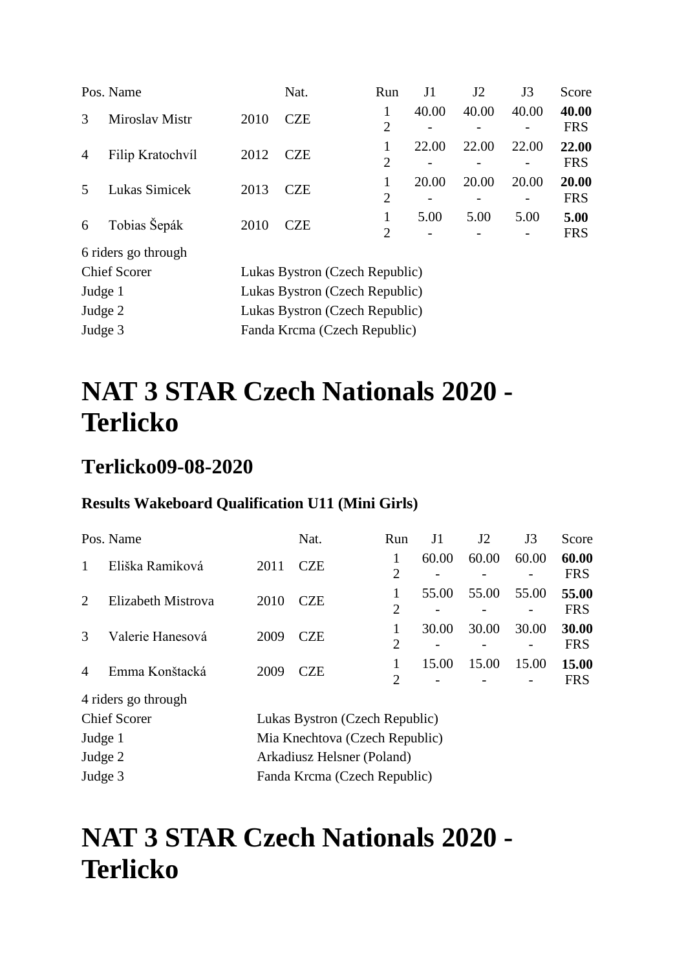|                | Pos. Name           |                                | Nat.                           | Run                 | J1    | J2    | J3    | Score               |  |
|----------------|---------------------|--------------------------------|--------------------------------|---------------------|-------|-------|-------|---------------------|--|
| 3              | Miroslav Mistr      | 2010                           | <b>CZE</b>                     | 1<br>$\overline{2}$ | 40.00 | 40.00 | 40.00 | 40.00<br><b>FRS</b> |  |
| $\overline{4}$ | Filip Kratochvíl    | 2012                           | <b>CZE</b>                     | $\overline{2}$      | 22.00 | 22.00 | 22.00 | 22.00<br><b>FRS</b> |  |
| 5              | Lukas Simicek       | 2013                           | <b>CZE</b>                     | 1<br>$\overline{2}$ | 20.00 | 20.00 | 20.00 | 20.00<br><b>FRS</b> |  |
| 6              | Tobias Šepák        | 2010                           | <b>CZE</b>                     | 1<br>2              | 5.00  | 5.00  | 5.00  | 5.00<br><b>FRS</b>  |  |
|                | 6 riders go through |                                |                                |                     |       |       |       |                     |  |
|                | <b>Chief Scorer</b> |                                | Lukas Bystron (Czech Republic) |                     |       |       |       |                     |  |
| Judge 1        |                     | Lukas Bystron (Czech Republic) |                                |                     |       |       |       |                     |  |
| Judge 2        |                     |                                | Lukas Bystron (Czech Republic) |                     |       |       |       |                     |  |

Judge 3 Fanda Krcma (Czech Republic)

# **NAT 3 STAR Czech Nationals 2020 - Terlicko**

### **Terlicko09-08-2020**

#### **Results Wakeboard Qualification U11 (Mini Girls)**

|                | Pos. Name                  |      | Nat.                           | Run                 | J1    | J2    | J3    | Score               |  |
|----------------|----------------------------|------|--------------------------------|---------------------|-------|-------|-------|---------------------|--|
| 1              | Eliška Ramiková            | 2011 | <b>CZE</b>                     | 1<br>$\overline{2}$ | 60.00 | 60.00 | 60.00 | 60.00<br><b>FRS</b> |  |
| 2              | Elizabeth Mistrova         | 2010 | <b>CZE</b>                     | 1<br>$\overline{2}$ | 55.00 | 55.00 | 55.00 | 55.00<br><b>FRS</b> |  |
| $\mathcal{R}$  | Valerie Hanesová           | 2009 | <b>CZE</b>                     | 1<br>$\overline{2}$ | 30.00 | 30.00 | 30.00 | 30.00<br><b>FRS</b> |  |
| $\overline{4}$ | Emma Konštacká             | 2009 | <b>CZE</b>                     | 1                   | 15.00 | 15.00 | 15.00 | 15.00               |  |
|                | 4 riders go through        |      |                                | $\overline{2}$      |       |       |       | <b>FRS</b>          |  |
|                | <b>Chief Scorer</b>        |      | Lukas Bystron (Czech Republic) |                     |       |       |       |                     |  |
| Judge 1        |                            |      | Mia Knechtova (Czech Republic) |                     |       |       |       |                     |  |
| Judge 2        | Arkadiusz Helsner (Poland) |      |                                |                     |       |       |       |                     |  |

## **NAT 3 STAR Czech Nationals 2020 - Terlicko**

Judge 3 Fanda Krcma (Czech Republic)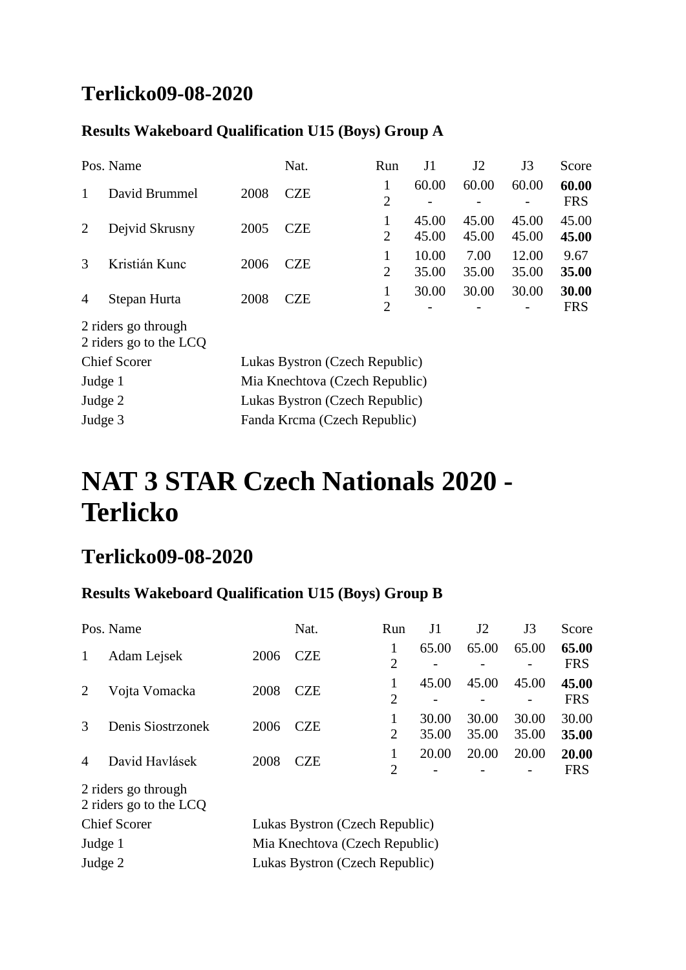## **Terlicko09-08-2020**

#### **Results Wakeboard Qualification U15 (Boys) Group A**

|         | Pos. Name                                     |                                | Nat.                           | Run                 | J1             | J2             | J3             | Score               |  |
|---------|-----------------------------------------------|--------------------------------|--------------------------------|---------------------|----------------|----------------|----------------|---------------------|--|
| 1       | David Brummel                                 | 2008                           | <b>CZE</b>                     | 1<br>$\overline{2}$ | 60.00          | 60.00          | 60.00          | 60.00<br><b>FRS</b> |  |
| 2       | Dejvid Skrusny                                | 2005                           | <b>CZE</b>                     | 1<br>$\overline{2}$ | 45.00<br>45.00 | 45.00<br>45.00 | 45.00<br>45.00 | 45.00<br>45.00      |  |
| 3       | Kristián Kunc                                 | 2006                           | <b>CZE</b>                     | 1<br>$\overline{2}$ | 10.00<br>35.00 | 7.00<br>35.00  | 12.00<br>35.00 | 9.67<br>35.00       |  |
| 4       | Stepan Hurta                                  | 2008                           | <b>CZE</b>                     | 1<br>$\overline{2}$ | 30.00          | 30.00          | 30.00          | 30.00<br><b>FRS</b> |  |
|         | 2 riders go through<br>2 riders go to the LCQ |                                |                                |                     |                |                |                |                     |  |
|         | <b>Chief Scorer</b>                           |                                | Lukas Bystron (Czech Republic) |                     |                |                |                |                     |  |
| Judge 1 |                                               |                                | Mia Knechtova (Czech Republic) |                     |                |                |                |                     |  |
| Judge 2 |                                               | Lukas Bystron (Czech Republic) |                                |                     |                |                |                |                     |  |
| Judge 3 |                                               |                                | Fanda Krcma (Czech Republic)   |                     |                |                |                |                     |  |

## **NAT 3 STAR Czech Nationals 2020 - Terlicko**

### **Terlicko09-08-2020**

### **Results Wakeboard Qualification U15 (Boys) Group B**

|                     | Pos. Name                                     |                                | Nat.                           | Run                 | J1             | J <sub>2</sub> | J3             | Score               |
|---------------------|-----------------------------------------------|--------------------------------|--------------------------------|---------------------|----------------|----------------|----------------|---------------------|
| 1                   | Adam Lejsek                                   | 2006                           | <b>CZE</b>                     | 1<br>$\overline{2}$ | 65.00          | 65.00          | 65.00          | 65.00<br><b>FRS</b> |
| 2                   | Vojta Vomacka                                 | 2008                           | <b>CZE</b>                     | 1<br>$\overline{2}$ | 45.00          | 45.00          | 45.00          | 45.00<br><b>FRS</b> |
| 3                   | Denis Siostrzonek                             | 2006                           | <b>CZE</b>                     | $\overline{2}$      | 30.00<br>35.00 | 30.00<br>35.00 | 30.00<br>35.00 | 30.00<br>35.00      |
| $\overline{4}$      | David Havlásek                                | 2008                           | <b>CZE</b>                     | 1<br>$\overline{2}$ | 20.00          | 20.00          | 20.00          | 20.00<br><b>FRS</b> |
|                     | 2 riders go through<br>2 riders go to the LCQ |                                |                                |                     |                |                |                |                     |
| <b>Chief Scorer</b> |                                               |                                | Lukas Bystron (Czech Republic) |                     |                |                |                |                     |
| Judge 1             |                                               | Mia Knechtova (Czech Republic) |                                |                     |                |                |                |                     |
| Judge 2             |                                               | Lukas Bystron (Czech Republic) |                                |                     |                |                |                |                     |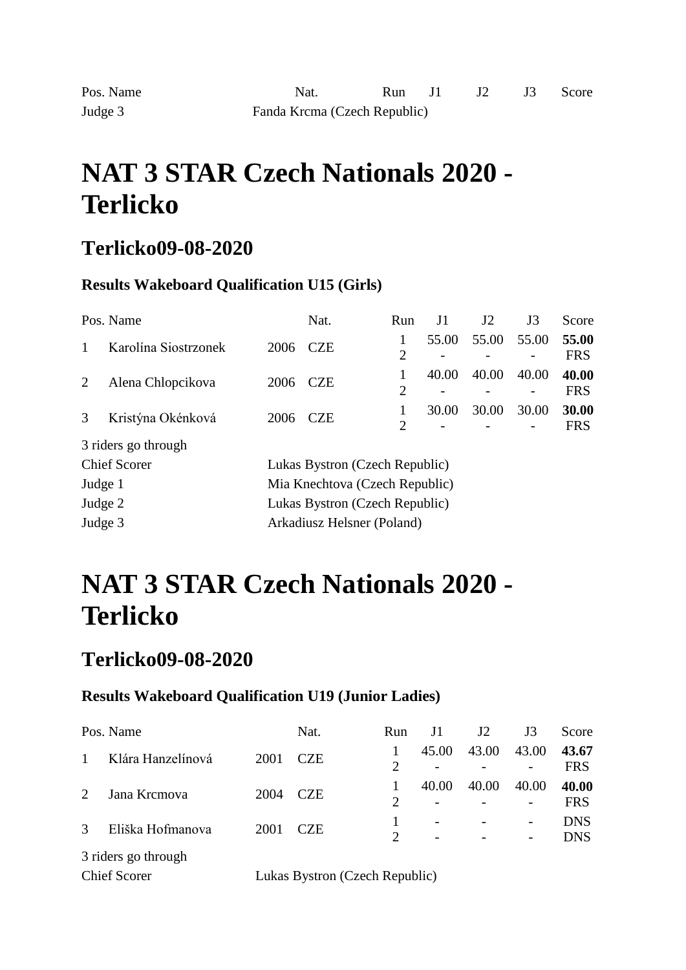### **Terlicko09-08-2020**

#### **Results Wakeboard Qualification U15 (Girls)**

|         | Pos. Name            |                                | Nat.                           | Run                 | J1    | J2    | J3    | Score               |  |
|---------|----------------------|--------------------------------|--------------------------------|---------------------|-------|-------|-------|---------------------|--|
| 1       | Karolína Siostrzonek | 2006                           | <b>CZE</b>                     | 1<br>$\overline{2}$ | 55.00 | 55.00 | 55.00 | 55.00<br><b>FRS</b> |  |
| 2       | Alena Chlopcikova    | 2006                           | <b>CZE</b>                     | 1<br>$\overline{2}$ | 40.00 | 40.00 | 40.00 | 40.00<br><b>FRS</b> |  |
| 3       | Kristýna Okénková    | 2006                           | <b>CZE</b>                     | 1<br>$\overline{2}$ | 30.00 | 30.00 | 30.00 | 30.00<br><b>FRS</b> |  |
|         | 3 riders go through  |                                |                                |                     |       |       |       |                     |  |
|         | <b>Chief Scorer</b>  |                                | Lukas Bystron (Czech Republic) |                     |       |       |       |                     |  |
| Judge 1 |                      | Mia Knechtova (Czech Republic) |                                |                     |       |       |       |                     |  |
| Judge 2 |                      |                                | Lukas Bystron (Czech Republic) |                     |       |       |       |                     |  |
| Judge 3 |                      |                                | Arkadiusz Helsner (Poland)     |                     |       |       |       |                     |  |

## **NAT 3 STAR Czech Nationals 2020 - Terlicko**

### **Terlicko09-08-2020**

#### **Results Wakeboard Qualification U19 (Junior Ladies)**

|                             | Pos. Name           |      | Nat.                           | Run            | J1    | J <sub>2</sub> | J3                                                       | Score                    |  |
|-----------------------------|---------------------|------|--------------------------------|----------------|-------|----------------|----------------------------------------------------------|--------------------------|--|
|                             | Klára Hanzelínová   | 2001 | <b>CZE</b>                     | $\overline{2}$ | 45.00 | 43.00          | 43.00                                                    | 43.67<br><b>FRS</b>      |  |
| $\mathcal{D}_{\mathcal{L}}$ | Jana Krcmova        | 2004 | <b>CZE</b>                     | $\overline{2}$ | 40.00 | 40.00          | 40.00<br>$\overline{\phantom{0}}$                        | 40.00<br><b>FRS</b>      |  |
| 3                           | Eliška Hofmanova    | 2001 | <b>CZE</b>                     | $\overline{2}$ |       |                | $\overline{\phantom{0}}$<br>$\qquad \qquad \blacksquare$ | <b>DNS</b><br><b>DNS</b> |  |
| 3 riders go through         |                     |      |                                |                |       |                |                                                          |                          |  |
|                             | <b>Chief Scorer</b> |      | Lukas Bystron (Czech Republic) |                |       |                |                                                          |                          |  |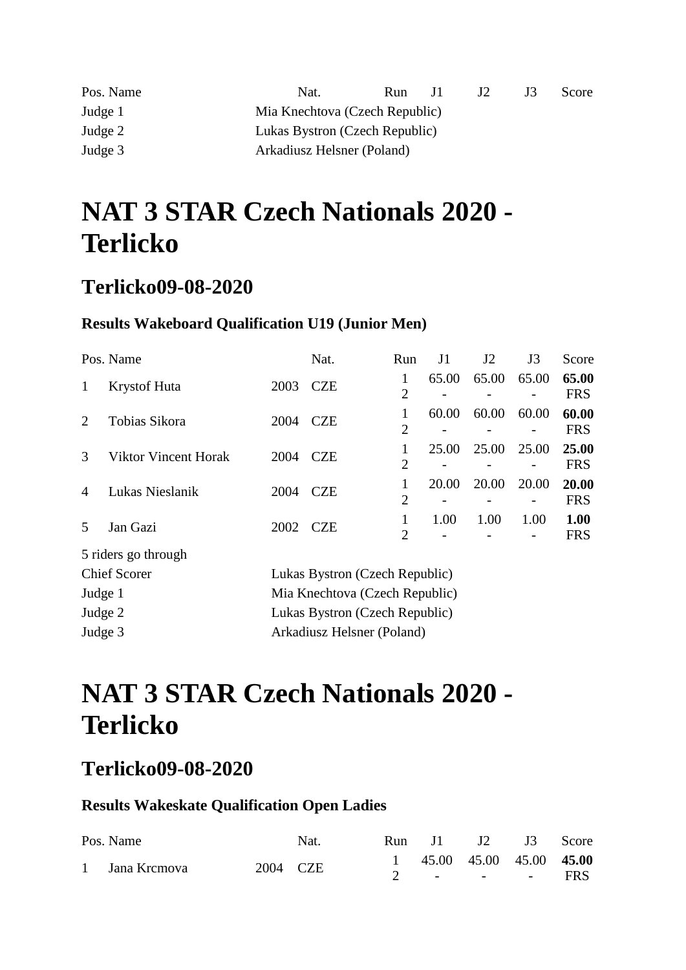| Pos. Name | Nat.                           | <b>Run</b> | $\Box$ | JZ. | .I 5 | Score |
|-----------|--------------------------------|------------|--------|-----|------|-------|
| Judge 1   | Mia Knechtova (Czech Republic) |            |        |     |      |       |
| Judge 2   | Lukas Bystron (Czech Republic) |            |        |     |      |       |
| Judge 3   | Arkadiusz Helsner (Poland)     |            |        |     |      |       |

### **Terlicko09-08-2020**

#### **Results Wakeboard Qualification U19 (Junior Men)**

|                | Pos. Name                                 |                                | Nat.                           | Run                 | J1    | J <sub>2</sub> | J3    | Score               |
|----------------|-------------------------------------------|--------------------------------|--------------------------------|---------------------|-------|----------------|-------|---------------------|
| 1              | <b>Krystof Huta</b>                       | 2003                           | <b>CZE</b>                     | 1<br>2              | 65.00 | 65.00          | 65.00 | 65.00<br><b>FRS</b> |
| $\overline{2}$ | Tobias Sikora                             | 2004                           | <b>CZE</b>                     | 1<br>2              | 60.00 | 60.00          | 60.00 | 60.00<br><b>FRS</b> |
| 3              | Viktor Vincent Horak                      | 2004                           | <b>CZE</b>                     | 1<br>$\overline{2}$ | 25.00 | 25.00          | 25.00 | 25.00<br><b>FRS</b> |
| 4              | Lukas Nieslanik                           | 2004                           | <b>CZE</b>                     | 1<br>$\overline{2}$ | 20.00 | 20.00          | 20.00 | 20.00<br><b>FRS</b> |
| 5              | Jan Gazi                                  | 2002                           | <b>CZE</b>                     | 1<br>$\overline{2}$ | 1.00  | 1.00           | 1.00  | 1.00<br><b>FRS</b>  |
|                | 5 riders go through                       |                                |                                |                     |       |                |       |                     |
|                | <b>Chief Scorer</b>                       |                                | Lukas Bystron (Czech Republic) |                     |       |                |       |                     |
|                | Judge 1<br>Mia Knechtova (Czech Republic) |                                |                                |                     |       |                |       |                     |
| Judge 2        |                                           | Lukas Bystron (Czech Republic) |                                |                     |       |                |       |                     |

## **NAT 3 STAR Czech Nationals 2020 - Terlicko**

Judge 3 Arkadiusz Helsner (Poland)

### **Terlicko09-08-2020**

#### **Results Wakeskate Qualification Open Ladies**

| Pos. Name      |          | Nat. |                           |  | Run J1 J2 J3 Score |  |
|----------------|----------|------|---------------------------|--|--------------------|--|
|                | 2004 CZE |      | 1 45.00 45.00 45.00 45.00 |  |                    |  |
| 1 Jana Kremova |          |      |                           |  | 2 - - - - FRS      |  |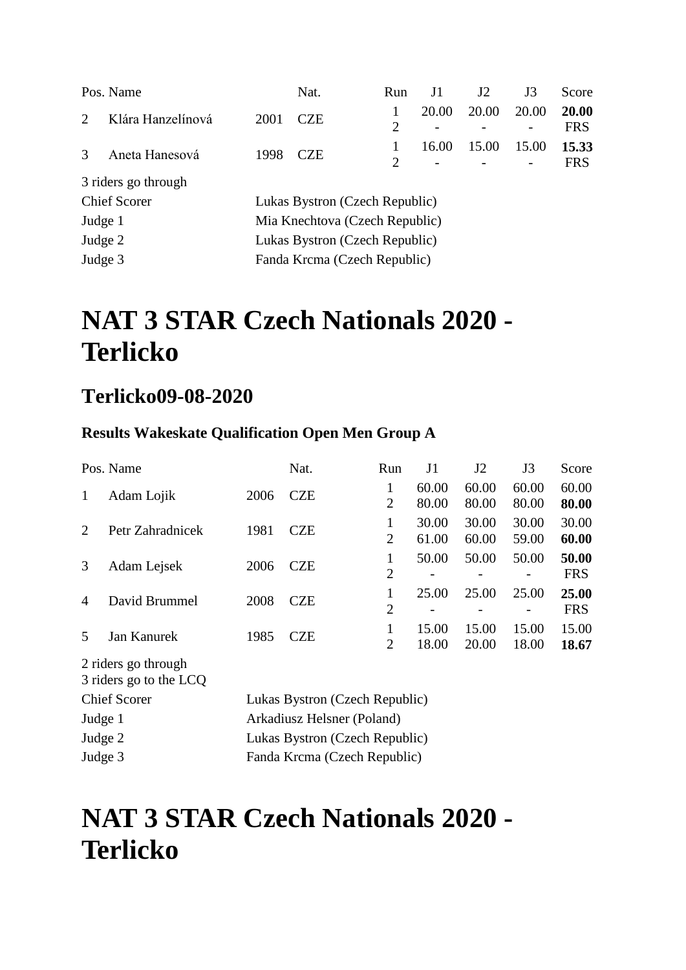|               | Pos. Name           |      | Nat.                           | Run            | J1    | J <sub>2</sub> | J3    | Score               |  |
|---------------|---------------------|------|--------------------------------|----------------|-------|----------------|-------|---------------------|--|
| $\mathcal{D}$ | Klára Hanzelínová   | 2001 | <b>CZE</b>                     | $\overline{2}$ | 20.00 | 20.00          | 20.00 | 20.00<br><b>FRS</b> |  |
| $\mathcal{R}$ | Aneta Hanesová      | 1998 | <b>CZE</b>                     | 2              | 16.00 | 15.00          | 15.00 | 15.33<br><b>FRS</b> |  |
|               | 3 riders go through |      |                                |                |       |                |       |                     |  |
|               | <b>Chief Scorer</b> |      | Lukas Bystron (Czech Republic) |                |       |                |       |                     |  |
| Judge 1       |                     |      | Mia Knechtova (Czech Republic) |                |       |                |       |                     |  |
| Judge 2       |                     |      | Lukas Bystron (Czech Republic) |                |       |                |       |                     |  |
| Judge 3       |                     |      | Fanda Krcma (Czech Republic)   |                |       |                |       |                     |  |
|               |                     |      |                                |                |       |                |       |                     |  |

### **Terlicko09-08-2020**

#### **Results Wakeskate Qualification Open Men Group A**

|                     | Pos. Name                                     |                                | Nat.                           | Run                 | J1             | J2             | J3             | Score               |  |  |
|---------------------|-----------------------------------------------|--------------------------------|--------------------------------|---------------------|----------------|----------------|----------------|---------------------|--|--|
| 1                   | Adam Lojik                                    | 2006                           | <b>CZE</b>                     | 1<br>$\overline{2}$ | 60.00<br>80.00 | 60.00<br>80.00 | 60.00<br>80.00 | 60.00<br>80.00      |  |  |
| $\overline{2}$      | Petr Zahradnicek                              | 1981                           | <b>CZE</b>                     | 1<br>$\overline{2}$ | 30.00<br>61.00 | 30.00<br>60.00 | 30.00<br>59.00 | 30.00<br>60.00      |  |  |
| 3                   | Adam Lejsek                                   | 2006                           | <b>CZE</b>                     | 1<br>$\overline{2}$ | 50.00          | 50.00<br>-     | 50.00          | 50.00<br><b>FRS</b> |  |  |
| $\overline{4}$      | David Brummel                                 | 2008                           | <b>CZE</b>                     | 1<br>$\overline{2}$ | 25.00          | 25.00          | 25.00          | 25.00<br><b>FRS</b> |  |  |
| 5                   | Jan Kanurek                                   | 1985                           | <b>CZE</b>                     | 1<br>$\overline{2}$ | 15.00<br>18.00 | 15.00<br>20.00 | 15.00<br>18.00 | 15.00<br>18.67      |  |  |
|                     | 2 riders go through<br>3 riders go to the LCQ |                                |                                |                     |                |                |                |                     |  |  |
| <b>Chief Scorer</b> |                                               | Lukas Bystron (Czech Republic) |                                |                     |                |                |                |                     |  |  |
| Judge 1             |                                               |                                | Arkadiusz Helsner (Poland)     |                     |                |                |                |                     |  |  |
| Judge 2             |                                               |                                | Lukas Bystron (Czech Republic) |                     |                |                |                |                     |  |  |
| Judge 3             |                                               |                                | Fanda Krcma (Czech Republic)   |                     |                |                |                |                     |  |  |

## **NAT 3 STAR Czech Nationals 2020 - Terlicko**